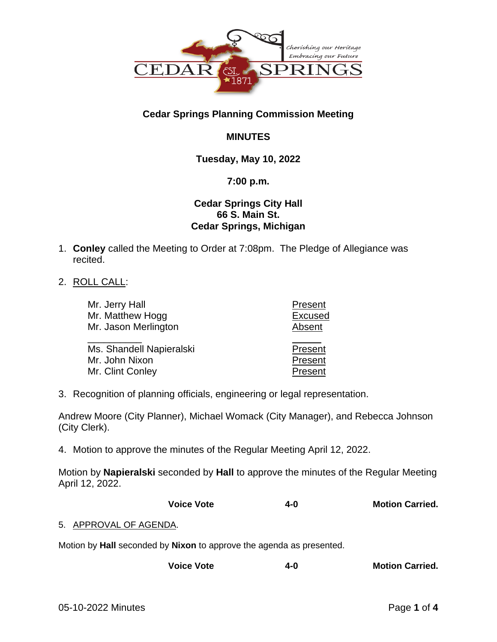

# **Cedar Springs Planning Commission Meeting**

# **MINUTES**

# **Tuesday, May 10, 2022**

## **7:00 p.m.**

## **Cedar Springs City Hall 66 S. Main St. Cedar Springs, Michigan**

- 1. **Conley** called the Meeting to Order at 7:08pm. The Pledge of Allegiance was recited.
- 2. ROLL CALL:

| Mr. Jerry Hall                             | Present            |
|--------------------------------------------|--------------------|
| Mr. Matthew Hogg                           | <b>Excused</b>     |
| Mr. Jason Merlington                       | Absent             |
| Ms. Shandell Napieralski<br>Mr. John Nixon | Present<br>Present |
| Mr. Clint Conley                           | Present            |
|                                            |                    |

3. Recognition of planning officials, engineering or legal representation.

Andrew Moore (City Planner), Michael Womack (City Manager), and Rebecca Johnson (City Clerk).

4. Motion to approve the minutes of the Regular Meeting April 12, 2022.

Motion by **Napieralski** seconded by **Hall** to approve the minutes of the Regular Meeting April 12, 2022.

| <b>Voice Vote</b> | 4-0 | <b>Motion Carried.</b> |
|-------------------|-----|------------------------|
|                   |     |                        |

### 5. APPROVAL OF AGENDA.

Motion by **Hall** seconded by **Nixon** to approve the agenda as presented.

**Voice Vote 4-0 Motion Carried.**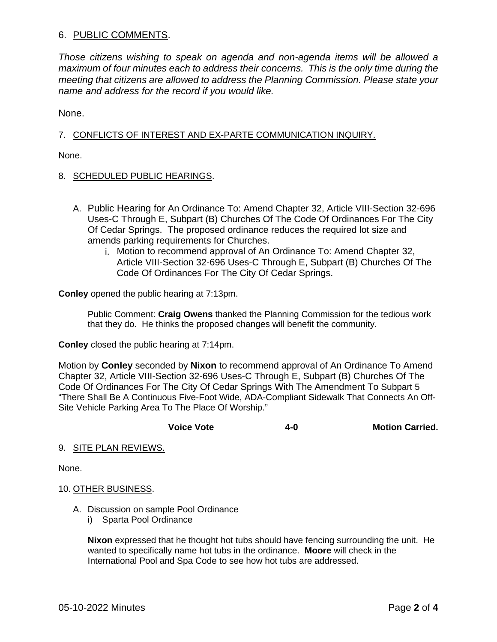## 6. PUBLIC COMMENTS.

*Those citizens wishing to speak on agenda and non-agenda items will be allowed a maximum of four minutes each to address their concerns. This is the only time during the meeting that citizens are allowed to address the Planning Commission. Please state your name and address for the record if you would like.*

None.

### 7. CONFLICTS OF INTEREST AND EX-PARTE COMMUNICATION INQUIRY.

None.

### 8. SCHEDULED PUBLIC HEARINGS.

- A. Public Hearing for An Ordinance To: Amend Chapter 32, Article VIII-Section 32-696 Uses-C Through E, Subpart (B) Churches Of The Code Of Ordinances For The City Of Cedar Springs. The proposed ordinance reduces the required lot size and amends parking requirements for Churches.
	- i. Motion to recommend approval of An Ordinance To: Amend Chapter 32, Article VIII-Section 32-696 Uses-C Through E, Subpart (B) Churches Of The Code Of Ordinances For The City Of Cedar Springs.

**Conley** opened the public hearing at 7:13pm.

Public Comment: **Craig Owens** thanked the Planning Commission for the tedious work that they do. He thinks the proposed changes will benefit the community.

**Conley** closed the public hearing at 7:14pm.

Motion by **Conley** seconded by **Nixon** to recommend approval of An Ordinance To Amend Chapter 32, Article VIII-Section 32-696 Uses-C Through E, Subpart (B) Churches Of The Code Of Ordinances For The City Of Cedar Springs With The Amendment To Subpart 5 "There Shall Be A Continuous Five-Foot Wide, ADA-Compliant Sidewalk That Connects An Off-Site Vehicle Parking Area To The Place Of Worship."

**Voice Vote 4-0 Motion Carried.**

#### 9. SITE PLAN REVIEWS.

None.

#### 10. OTHER BUSINESS.

- A. Discussion on sample Pool Ordinance
	- i) Sparta Pool Ordinance

**Nixon** expressed that he thought hot tubs should have fencing surrounding the unit. He wanted to specifically name hot tubs in the ordinance. **Moore** will check in the International Pool and Spa Code to see how hot tubs are addressed.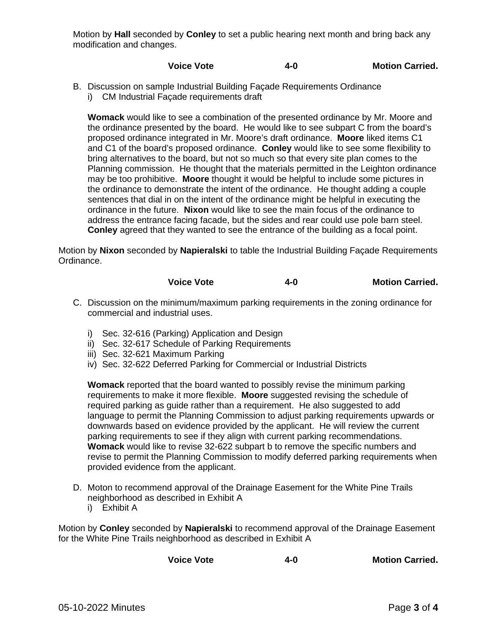Motion by **Hall** seconded by **Conley** to set a public hearing next month and bring back any modification and changes.

## **Voice Vote 4-0 Motion Carried.**

- B. Discussion on sample Industrial Building Façade Requirements Ordinance
	- i) CM Industrial Façade requirements draft

**Womack** would like to see a combination of the presented ordinance by Mr. Moore and the ordinance presented by the board. He would like to see subpart C from the board's proposed ordinance integrated in Mr. Moore's draft ordinance. **Moore** liked items C1 and C1 of the board's proposed ordinance. **Conley** would like to see some flexibility to bring alternatives to the board, but not so much so that every site plan comes to the Planning commission. He thought that the materials permitted in the Leighton ordinance may be too prohibitive. **Moore** thought it would be helpful to include some pictures in the ordinance to demonstrate the intent of the ordinance. He thought adding a couple sentences that dial in on the intent of the ordinance might be helpful in executing the ordinance in the future. **Nixon** would like to see the main focus of the ordinance to address the entrance facing facade, but the sides and rear could use pole barn steel. **Conley** agreed that they wanted to see the entrance of the building as a focal point.

Motion by **Nixon** seconded by **Napieralski** to table the Industrial Building Façade Requirements Ordinance.

## **Voice Vote 4-0 Motion Carried.**

- C. Discussion on the minimum/maximum parking requirements in the zoning ordinance for commercial and industrial uses.
	- i) Sec. 32-616 (Parking) Application and Design
	- ii) Sec. 32-617 Schedule of Parking Requirements
	- iii) Sec. 32-621 Maximum Parking
	- iv) Sec. 32-622 Deferred Parking for Commercial or Industrial Districts

**Womack** reported that the board wanted to possibly revise the minimum parking requirements to make it more flexible. **Moore** suggested revising the schedule of required parking as guide rather than a requirement. He also suggested to add language to permit the Planning Commission to adjust parking requirements upwards or downwards based on evidence provided by the applicant. He will review the current parking requirements to see if they align with current parking recommendations. **Womack** would like to revise 32-622 subpart b to remove the specific numbers and revise to permit the Planning Commission to modify deferred parking requirements when provided evidence from the applicant.

- D. Moton to recommend approval of the Drainage Easement for the White Pine Trails neighborhood as described in Exhibit A
	- i) Exhibit A

Motion by **Conley** seconded by **Napieralski** to recommend approval of the Drainage Easement for the White Pine Trails neighborhood as described in Exhibit A

| <b>Voice Vote</b> | 4-0 | <b>Motion Carried.</b> |
|-------------------|-----|------------------------|
|                   |     |                        |